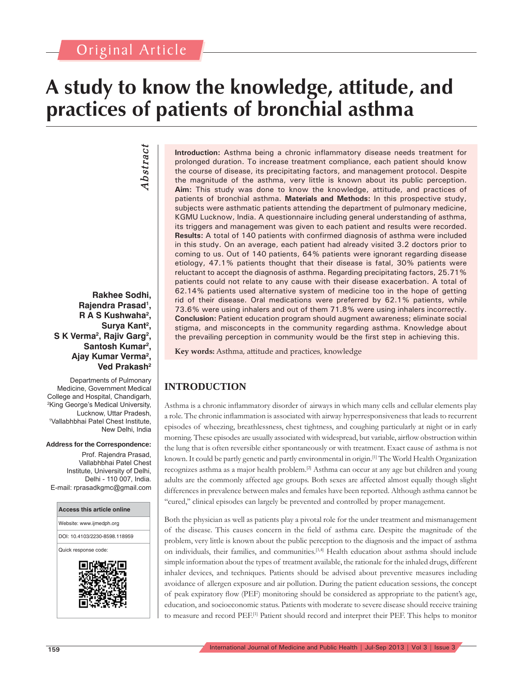# **A study to know the knowledge, attitude, and practices of patients of bronchial asthma**

# *Abstract* Abstract

## **Rakhee Sodhi, Rajendra Prasad1 , R A S Kushwaha2 , Surya Kant2 , S K Verma2 , Rajiv Garg2 ,**  Santosh Kumar<sup>2</sup>, **Ajay Kumar Verma2 , Ved Prakash2**

Departments of Pulmonary Medicine, Government Medical College and Hospital, Chandigarh, 2 King George's Medical University, Lucknow, Uttar Pradesh, 1 Vallabhbhai Patel Chest Institute, New Delhi, India

#### **Address for the Correspondence:**

Prof. Rajendra Prasad, Vallabhbhai Patel Chest Institute, University of Delhi, Delhi - 110 007, India. E-mail: rprasadkgmc@gmail.com



**Introduction:** Asthma being a chronic inflammatory disease needs treatment for prolonged duration. To increase treatment compliance, each patient should know the course of disease, its precipitating factors, and management protocol. Despite the magnitude of the asthma, very little is known about its public perception. **Aim:** This study was done to know the knowledge, attitude, and practices of patients of bronchial asthma. **Materials and Methods:** In this prospective study, subjects were asthmatic patients attending the department of pulmonary medicine, KGMU Lucknow, India. A questionnaire including general understanding of asthma, its triggers and management was given to each patient and results were recorded. **Results:** A total of 140 patients with confirmed diagnosis of asthma were included in this study. On an average, each patient had already visited 3.2 doctors prior to coming to us. Out of 140 patients, 64% patients were ignorant regarding disease etiology, 47.1% patients thought that their disease is fatal, 30% patients were reluctant to accept the diagnosis of asthma. Regarding precipitating factors, 25.71% patients could not relate to any cause with their disease exacerbation. A total of 62.14% patients used alternative system of medicine too in the hope of getting rid of their disease. Oral medications were preferred by 62.1% patients, while 73.6% were using inhalers and out of them 71.8% were using inhalers incorrectly. **Conclusion:** Patient education program should augment awareness; eliminate social stigma, and misconcepts in the community regarding asthma. Knowledge about the prevailing perception in community would be the first step in achieving this.

Key words: Asthma, attitude and practices, knowledge

## **INTRODUCTION**

Asthma is a chronic inflammatory disorder of airways in which many cells and cellular elements play a role. The chronic inflammation is associated with airway hyperresponsiveness that leads to recurrent episodes of wheezing, breathlessness, chest tightness, and coughing particularly at night or in early morning. These episodes are usually associated with widespread, but variable, airflow obstruction within the lung that is often reversible either spontaneously or with treatment. Exact cause of asthma is not known. It could be partly genetic and partly environmental in origin.[1] The World Health Organization recognizes asthma as a major health problem.<sup>[2]</sup> Asthma can occur at any age but children and young adults are the commonly affected age groups. Both sexes are affected almost equally though slight differences in prevalence between males and females have been reported. Although asthma cannot be "cured," clinical episodes can largely be prevented and controlled by proper management.

Both the physician as well as patients play a pivotal role for the under treatment and mismanagement of the disease. This causes concern in the field of asthma care. Despite the magnitude of the problem, very little is known about the public perception to the diagnosis and the impact of asthma on individuals, their families, and communities.[3,4] Health education about asthma should include simple information about the types of treatment available, the rationale for the inhaled drugs, different inhaler devices, and techniques. Patients should be advised about preventive measures including avoidance of allergen exposure and air pollution. During the patient education sessions, the concept of peak expiratory flow (PEF) monitoring should be considered as appropriate to the patient's age, education, and socioeconomic status. Patients with moderate to severe disease should receive training to measure and record PEF.[1] Patient should record and interpret their PEF. This helps to monitor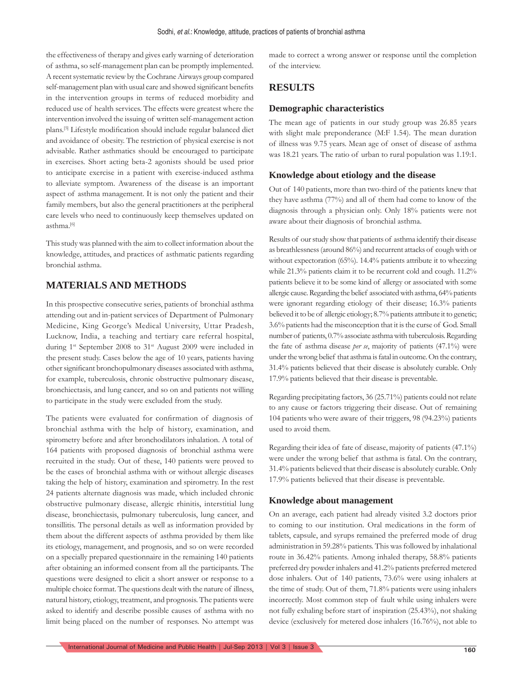the effectiveness of therapy and gives early warning of deterioration of asthma, so self-management plan can be promptly implemented. A recent systematic review by the Cochrane Airways group compared self-management plan with usual care and showed significant benefits in the intervention groups in terms of reduced morbidity and reduced use of health services. The effects were greatest where the intervention involved the issuing of written self-management action plans.<sup>[5]</sup> Lifestyle modification should include regular balanced diet and avoidance of obesity. The restriction of physical exercise is not advisable. Rather asthmatics should be encouraged to participate in exercises. Short acting beta-2 agonists should be used prior to anticipate exercise in a patient with exercise-induced asthma to alleviate symptom. Awareness of the disease is an important aspect of asthma management. It is not only the patient and their family members, but also the general practitioners at the peripheral care levels who need to continuously keep themselves updated on asthma.[6]

This study was planned with the aim to collect information about the knowledge, attitudes, and practices of asthmatic patients regarding bronchial asthma.

## **MATERIALS AND METHODS**

In this prospective consecutive series, patients of bronchial asthma attending out and in-patient services of Department of Pulmonary Medicine, King George's Medical University, Uttar Pradesh, Lucknow, India, a teaching and tertiary care referral hospital, during 1<sup>st</sup> September 2008 to 31<sup>st</sup> August 2009 were included in the present study. Cases below the age of 10 years, patients having other significant bronchopulmonary diseases associated with asthma, for example, tuberculosis, chronic obstructive pulmonary disease, bronchiectasis, and lung cancer, and so on and patients not willing to participate in the study were excluded from the study.

The patients were evaluated for confirmation of diagnosis of bronchial asthma with the help of history, examination, and spirometry before and after bronchodilators inhalation. A total of 164 patients with proposed diagnosis of bronchial asthma were recruited in the study. Out of these, 140 patients were proved to be the cases of bronchial asthma with or without allergic diseases taking the help of history, examination and spirometry. In the rest 24 patients alternate diagnosis was made, which included chronic obstructive pulmonary disease, allergic rhinitis, interstitial lung disease, bronchiectasis, pulmonary tuberculosis, lung cancer, and tonsillitis. The personal details as well as information provided by them about the different aspects of asthma provided by them like its etiology, management, and prognosis, and so on were recorded on a specially prepared questionnaire in the remaining 140 patients after obtaining an informed consent from all the participants. The questions were designed to elicit a short answer or response to a multiple choice format. The questions dealt with the nature of illness, natural history, etiology, treatment, and prognosis. The patients were asked to identify and describe possible causes of asthma with no limit being placed on the number of responses. No attempt was

made to correct a wrong answer or response until the completion of the interview.

## **RESULTS**

#### **Demographic characteristics**

The mean age of patients in our study group was 26.85 years with slight male preponderance (M:F 1.54). The mean duration of illness was 9.75 years. Mean age of onset of disease of asthma was 18.21 years. The ratio of urban to rural population was 1.19:1.

#### **Knowledge about etiology and the disease**

Out of 140 patients, more than two-third of the patients knew that they have asthma (77%) and all of them had come to know of the diagnosis through a physician only. Only 18% patients were not aware about their diagnosis of bronchial asthma.

Results of our study show that patients of asthma identify their disease as breathlessness (around 86%) and recurrent attacks of cough with or without expectoration (65%). 14.4% patients attribute it to wheezing while 21.3% patients claim it to be recurrent cold and cough. 11.2% patients believe it to be some kind of allergy or associated with some allergic cause. Regarding the belief associated with asthma, 64% patients were ignorant regarding etiology of their disease; 16.3% patients believed it to be of allergic etiology; 8.7% patients attribute it to genetic; 3.6% patients had the misconception that it is the curse of God. Small number of patients, 0.7% associate asthma with tuberculosis. Regarding the fate of asthma disease *per se*, majority of patients (47.1%) were under the wrong belief that asthma is fatal in outcome. On the contrary, 31.4% patients believed that their disease is absolutely curable. Only 17.9% patients believed that their disease is preventable.

Regarding precipitating factors, 36 (25.71%) patients could not relate to any cause or factors triggering their disease. Out of remaining 104 patients who were aware of their triggers, 98 (94.23%) patients used to avoid them.

Regarding their idea of fate of disease, majority of patients (47.1%) were under the wrong belief that asthma is fatal. On the contrary, 31.4% patients believed that their disease is absolutely curable. Only 17.9% patients believed that their disease is preventable.

#### **Knowledge about management**

On an average, each patient had already visited 3.2 doctors prior to coming to our institution. Oral medications in the form of tablets, capsule, and syrups remained the preferred mode of drug administration in 59.28% patients. This was followed by inhalational route in 36.42% patients. Among inhaled therapy, 58.8% patients preferred dry powder inhalers and 41.2% patients preferred metered dose inhalers. Out of 140 patients, 73.6% were using inhalers at the time of study. Out of them, 71.8% patients were using inhalers incorrectly. Most common step of fault while using inhalers were not fully exhaling before start of inspiration (25.43%), not shaking device (exclusively for metered dose inhalers (16.76%), not able to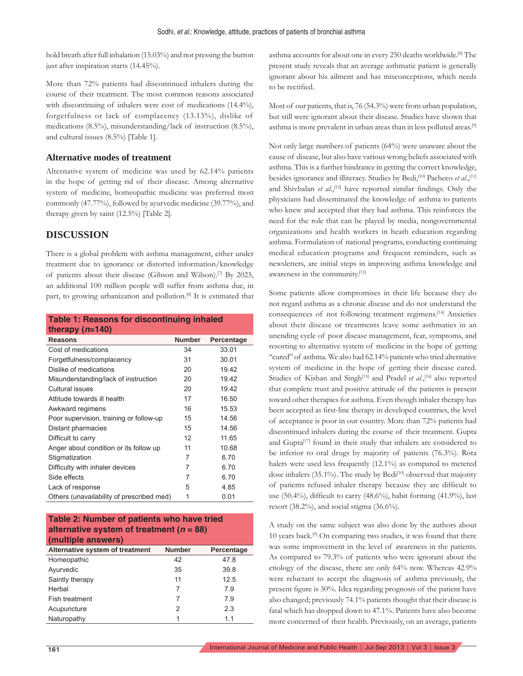hold breath after full inhalation (15.03%) and not pressing the button just after inspiration starts (14.45%).

More than 72% patients had discontinued inhalers during the course of their treatment. The most common reasons associated with discontinuing of inhalers were cost of medications  $(14.4\%)$ , forgetfulness or lack of complacency (13.13%), dislike of medications (8.5%), misunderstanding/lack of instruction (8.5%), and cultural issues (8.5%) [Table 1].

## **Alternative modes of treatment**

Alternative system of medicine was used by 62.14% patients in the hope of getting rid of their disease. Among alternative system of medicine, homeopathic medicine was preferred most commonly (47.77%), followed by ayurvedic medicine (39.77%), and therapy given by saint (12.5%) [Table 2].

## **DISCUSSION**

There is a global problem with asthma management, either under treatment due to ignorance or distorted information/knowledge of patients about their disease (Gibson and Wilson).[7] By 2025, an additional 100 million people will suffer from asthma due, in part, to growing urbanization and pollution.<sup>[8]</sup> It is estimated that

| <b>Table 1: Reasons for discontinuing inhaled</b> |               |            |  |
|---------------------------------------------------|---------------|------------|--|
| therapy $(n=140)$                                 |               |            |  |
| Reasons                                           | <b>Number</b> | Percentage |  |
| Cost of medications                               | 34            | 33.01      |  |
| Forgetfulness/complacency                         | 31            | 30.01      |  |
| Dislike of medications                            | 20            | 19.42      |  |
| Misunderstanding/lack of instruction              | 20            | 19.42      |  |
| Cultural issues                                   | 20            | 19.42      |  |
| Attitude towards ill health                       | 17            | 16.50      |  |
| Awkward regimens                                  | 16            | 15.53      |  |
| Poor supervision, training or follow-up           | 15            | 14.56      |  |
| Distant pharmacies                                | 15            | 14.56      |  |
| Difficult to carry                                | 12            | 11.65      |  |
| Anger about condition or its follow up            | 11            | 10.68      |  |
| Stigmatization                                    | 7             | 6.70       |  |
| Difficulty with inhaler devices                   | 7             | 6.70       |  |
| Side effects                                      | 7             | 6.70       |  |
| Lack of response                                  | 5             | 4.85       |  |
| Others (unavailability of prescribed med)         | 1             | 0.01       |  |
|                                                   |               |            |  |

| Table 2: Number of patients who have tried   |
|----------------------------------------------|
| alternative system of treatment ( $n = 88$ ) |
| (multiple answers)                           |

| Alternative system of treatment | <b>Number</b> | Percentage |
|---------------------------------|---------------|------------|
| Homeopathic                     | 42            | 47.8       |
| Ayurvedic                       | 35            | 39.8       |
| Saintly therapy                 | 11            | 12.5       |
| Herbal                          | 7             | 7.9        |
| Fish treatment                  |               | 7.9        |
| Acupuncture                     | 2             | 2.3        |
| Naturopathy                     |               | 11         |

asthma accounts for about one in every 250 deaths worldwide.[8] The present study reveals that an average asthmatic patient is generally ignorant about his ailment and has misconceptions, which needs to be rectified.

Most of our patients, that is, 76 (54.3%) were from urban population, but still were ignorant about their disease. Studies have shown that asthma is more prevalent in urban areas than in less polluted areas.[9]

Not only large numbers of patients (64%) were unaware about the cause of disease, but also have various wrong beliefs associated with asthma. This is a further hindrance in getting the correct knowledge, besides ignorance and illiteracy. Studies by Bedi,[10] Pacheco *et al*.,[11] and Shivbalan *et al.*,<sup>[12]</sup> have reported similar findings. Only the physicians had disseminated the knowledge of asthma to patients who knew and accepted that they had asthma. This reinforces the need for the role that can be played by media, nongovernmental organizations and health workers in heath education regarding asthma. Formulation of national programs, conducting continuing medical education programs and frequent reminders, such as newsletters, are initial steps in improving asthma knowledge and awareness in the community.[13]

Some patients allow compromises in their life because they do not regard asthma as a chronic disease and do not understand the consequences of not following treatment regimens.[14] Anxieties about their disease or treatments leave some asthmatics in an unending cycle of poor disease management, fear, symptoms, and resorting to alternative system of medicine in the hope of getting "cured" of asthma. We also had 62.14% patients who tried alternative system of medicine in the hope of getting their disease cured. Studies of Kishan and Singh<sup>[15]</sup> and Pradel *et al.*,<sup>[16]</sup> also reported that complete trust and positive attitude of the patients is present toward other therapies for asthma. Even though inhaler therapy has been accepted as first-line therapy in developed countries, the level of acceptance is poor in our country. More than 72% patients had discontinued inhalers during the course of their treatment. Gupta and Gupta<sup>[17]</sup> found in their study that inhalers are considered to be inferior to oral drugs by majority of patients (76.3%). Rota halers were used less frequently (12.1%) as compared to metered dose inhalers (35.1%). The study by Bedi<sup>[10]</sup> observed that majority of patients refused inhaler therapy because they are difficult to use (50.4%), difficult to carry (48.6%), habit forming (41.9%), last resort (38.2%), and social stigma (36.6%).

A study on the same subject was also done by the authors about 10 years back.[9] On comparing two studies, it was found that there was some improvement in the level of awareness in the patients. As compared to 79.3% of patients who were ignorant about the etiology of the disease, there are only 64% now. Whereas 42.9% were reluctant to accept the diagnosis of asthma previously, the present figure is 30%. Idea regarding prognosis of the patient have also changed; previously 74.1% patients thought that their disease is fatal which has dropped down to 47.1%. Patients have also become more concerned of their health. Previously, on an average, patients